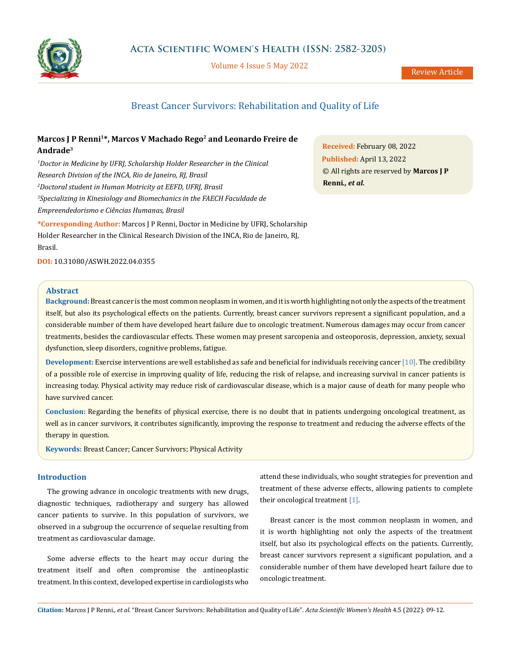

Volume 4 Issue 5 May 2022

# Breast Cancer Survivors: Rehabilitation and Quality of Life

# Marcos J P Renni<sup>1\*</sup>, Marcos V Machado Rego<sup>2</sup> and Leonardo Freire de **Andrade3**

*1 Doctor in Medicine by UFRJ, Scholarship Holder Researcher in the Clinical Research Division of the INCA, Rio de Janeiro, RJ, Brasil 2 Doctoral student in Human Motricity at EEFD, UFRJ, Brasil 3 Specializing in Kinesiology and Biomechanics in the FAECH Faculdade de Empreendedorismo e Ciências Humanas, Brasil* **\*Corresponding Author:** Marcos J P Renni, Doctor in Medicine by UFRJ, Scholarship Holder Researcher in the Clinical Research Division of the INCA, Rio de Janeiro, RJ, Brasil.

**Received:** February 08, 2022 **Published:** April 13, 2022 © All rights are reserved by **Marcos J P Renni***., et al.*

**DOI:** [10.31080/ASWH.2022.04.0355](http://actascientific.com/ASWH/pdf/ASWH-04-0355.pdf)

## **Abstract**

**Background:** Breast cancer is the most common neoplasm in women, and it is worth highlighting not only the aspects of the treatment itself, but also its psychological effects on the patients. Currently, breast cancer survivors represent a significant population, and a considerable number of them have developed heart failure due to oncologic treatment. Numerous damages may occur from cancer treatments, besides the cardiovascular effects. These women may present sarcopenia and osteoporosis, depression, anxiety, sexual dysfunction, sleep disorders, cognitive problems, fatigue.

**Development:** Exercise interventions are well established as safe and beneficial for individuals receiving cancer [10]. The credibility of a possible role of exercise in improving quality of life, reducing the risk of relapse, and increasing survival in cancer patients is increasing today. Physical activity may reduce risk of cardiovascular disease, which is a major cause of death for many people who have survived cancer.

**Conclusion:** Regarding the benefits of physical exercise, there is no doubt that in patients undergoing oncological treatment, as well as in cancer survivors, it contributes significantly, improving the response to treatment and reducing the adverse effects of the therapy in question.

**Keywords:** Breast Cancer; Cancer Survivors; Physical Activity

## **Introduction**

The growing advance in oncologic treatments with new drugs, diagnostic techniques, radiotherapy and surgery has allowed cancer patients to survive. In this population of survivors, we observed in a subgroup the occurrence of sequelae resulting from treatment as cardiovascular damage.

Some adverse effects to the heart may occur during the treatment itself and often compromise the antineoplastic treatment. In this context, developed expertise in cardiologists who attend these individuals, who sought strategies for prevention and treatment of these adverse effects, allowing patients to complete their oncological treatment [1].

Breast cancer is the most common neoplasm in women, and it is worth highlighting not only the aspects of the treatment itself, but also its psychological effects on the patients. Currently, breast cancer survivors represent a significant population, and a considerable number of them have developed heart failure due to oncologic treatment.

**Citation:** Marcos J P Renni*., et al.* "Breast Cancer Survivors: Rehabilitation and Quality of Life". *Acta Scientific Women's Health* 4.5 (2022): 09-12.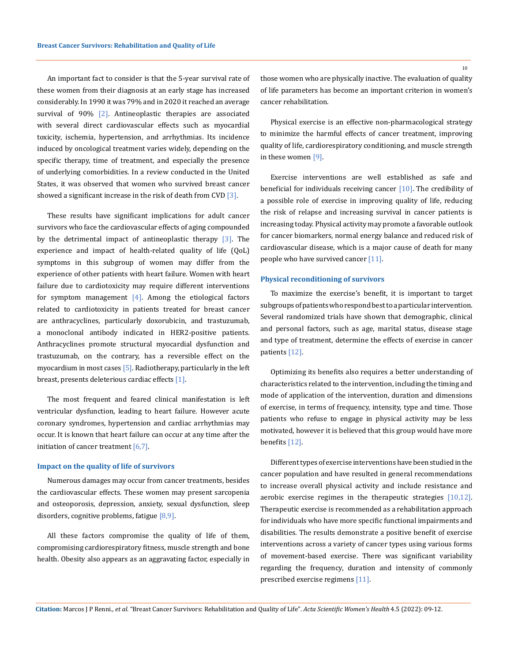An important fact to consider is that the 5-year survival rate of these women from their diagnosis at an early stage has increased considerably. In 1990 it was 79% and in 2020 it reached an average survival of 90% [2]. Antineoplastic therapies are associated with several direct cardiovascular effects such as myocardial toxicity, ischemia, hypertension, and arrhythmias. Its incidence induced by oncological treatment varies widely, depending on the specific therapy, time of treatment, and especially the presence of underlying comorbidities. In a review conducted in the United States, it was observed that women who survived breast cancer showed a significant increase in the risk of death from CVD  $[3]$ .

These results have significant implications for adult cancer survivors who face the cardiovascular effects of aging compounded by the detrimental impact of antineoplastic therapy  $[3]$ . The experience and impact of health-related quality of life (QoL) symptoms in this subgroup of women may differ from the experience of other patients with heart failure. Women with heart failure due to cardiotoxicity may require different interventions for symptom management  $[4]$ . Among the etiological factors related to cardiotoxicity in patients treated for breast cancer are anthracyclines, particularly doxorubicin, and trastuzumab, a monoclonal antibody indicated in HER2-positive patients. Anthracyclines promote structural myocardial dysfunction and trastuzumab, on the contrary, has a reversible effect on the myocardium in most cases [5]. Radiotherapy, particularly in the left breast, presents deleterious cardiac effects [1].

The most frequent and feared clinical manifestation is left ventricular dysfunction, leading to heart failure. However acute coronary syndromes, hypertension and cardiac arrhythmias may occur. It is known that heart failure can occur at any time after the initiation of cancer treatment [6,7].

#### **Impact on the quality of life of survivors**

Numerous damages may occur from cancer treatments, besides the cardiovascular effects. These women may present sarcopenia and osteoporosis, depression, anxiety, sexual dysfunction, sleep disorders, cognitive problems, fatigue [8,9].

All these factors compromise the quality of life of them, compromising cardiorespiratory fitness, muscle strength and bone health. Obesity also appears as an aggravating factor, especially in those women who are physically inactive. The evaluation of quality of life parameters has become an important criterion in women's cancer rehabilitation.

Physical exercise is an effective non-pharmacological strategy to minimize the harmful effects of cancer treatment, improving quality of life, cardiorespiratory conditioning, and muscle strength in these women [9].

Exercise interventions are well established as safe and beneficial for individuals receiving cancer  $[10]$ . The credibility of a possible role of exercise in improving quality of life, reducing the risk of relapse and increasing survival in cancer patients is increasing today. Physical activity may promote a favorable outlook for cancer biomarkers, normal energy balance and reduced risk of cardiovascular disease, which is a major cause of death for many people who have survived cancer [11].

#### **Physical reconditioning of survivors**

To maximize the exercise's benefit, it is important to target subgroups of patients who respond best to a particular intervention. Several randomized trials have shown that demographic, clinical and personal factors, such as age, marital status, disease stage and type of treatment, determine the effects of exercise in cancer patients [12].

Optimizing its benefits also requires a better understanding of characteristics related to the intervention, including the timing and mode of application of the intervention, duration and dimensions of exercise, in terms of frequency, intensity, type and time. Those patients who refuse to engage in physical activity may be less motivated, however it is believed that this group would have more benefits [12].

Different types of exercise interventions have been studied in the cancer population and have resulted in general recommendations to increase overall physical activity and include resistance and aerobic exercise regimes in the therapeutic strategies [10,12]. Therapeutic exercise is recommended as a rehabilitation approach for individuals who have more specific functional impairments and disabilities. The results demonstrate a positive benefit of exercise interventions across a variety of cancer types using various forms of movement-based exercise. There was significant variability regarding the frequency, duration and intensity of commonly prescribed exercise regimens [11].

**Citation:** Marcos J P Renni*., et al.* "Breast Cancer Survivors: Rehabilitation and Quality of Life". *Acta Scientific Women's Health* 4.5 (2022): 09-12.

10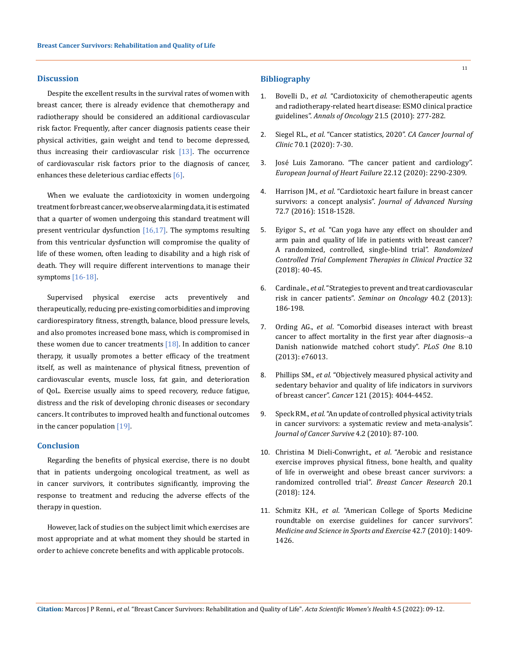#### **Discussion**

Despite the excellent results in the survival rates of women with breast cancer, there is already evidence that chemotherapy and radiotherapy should be considered an additional cardiovascular risk factor. Frequently, after cancer diagnosis patients cease their physical activities, gain weight and tend to become depressed, thus increasing their cardiovascular risk  $[13]$ . The occurrence of cardiovascular risk factors prior to the diagnosis of cancer, enhances these deleterious cardiac effects [6].

When we evaluate the cardiotoxicity in women undergoing treatment for breast cancer, we observe alarming data, it is estimated that a quarter of women undergoing this standard treatment will present ventricular dysfunction  $[16,17]$ . The symptoms resulting from this ventricular dysfunction will compromise the quality of life of these women, often leading to disability and a high risk of death. They will require different interventions to manage their symptoms [16-18].

Supervised physical exercise acts preventively and therapeutically, reducing pre-existing comorbidities and improving cardiorespiratory fitness, strength, balance, blood pressure levels, and also promotes increased bone mass, which is compromised in these women due to cancer treatments  $[18]$ . In addition to cancer therapy, it usually promotes a better efficacy of the treatment itself, as well as maintenance of physical fitness, prevention of cardiovascular events, muscle loss, fat gain, and deterioration of QoL. Exercise usually aims to speed recovery, reduce fatigue, distress and the risk of developing chronic diseases or secondary cancers. It contributes to improved health and functional outcomes in the cancer population [19].

## **Conclusion**

Regarding the benefits of physical exercise, there is no doubt that in patients undergoing oncological treatment, as well as in cancer survivors, it contributes significantly, improving the response to treatment and reducing the adverse effects of the therapy in question.

However, lack of studies on the subject limit which exercises are most appropriate and at what moment they should be started in order to achieve concrete benefits and with applicable protocols.

#### **Bibliography**

- 1. Bovelli D., *et al*[. "Cardiotoxicity of chemotherapeutic agents](https://www.annalsofoncology.org/article/S0923-7534(19)39648-6/fulltext)  [and radiotherapy-related heart disease: ESMO clinical practice](https://www.annalsofoncology.org/article/S0923-7534(19)39648-6/fulltext)  guidelines". *Annals of Oncology* [21.5 \(2010\): 277-282.](https://www.annalsofoncology.org/article/S0923-7534(19)39648-6/fulltext)
- 2. Siegel RL., *et al*[. "Cancer statistics, 2020".](https://pubmed.ncbi.nlm.nih.gov/31912902/) *CA Cancer Journal of Clinic* [70.1 \(2020\): 7-30.](https://pubmed.ncbi.nlm.nih.gov/31912902/)
- 3. [José Luis Zamorano. "The cancer patient and cardiology".](https://onlinelibrary.wiley.com/doi/full/10.1002/ejhf.1985)  *[European Journal of Heart Failure](https://onlinelibrary.wiley.com/doi/full/10.1002/ejhf.1985)* 22.12 (2020): 2290-2309.
- 4. Harrison JM., *et al*[. "Cardiotoxic heart failure in breast cancer](https://onlinelibrary.wiley.com/doi/10.1111/jan.12988)  survivors: a concept analysis". *[Journal of Advanced Nursing](https://onlinelibrary.wiley.com/doi/10.1111/jan.12988)* [72.7 \(2016\): 1518-1528.](https://onlinelibrary.wiley.com/doi/10.1111/jan.12988)
- 5. Eyigor S., *et al*[. "Can yoga have any effect on shoulder and](https://pubmed.ncbi.nlm.nih.gov/30057055/)  [arm pain and quality of life in patients with breast cancer?](https://pubmed.ncbi.nlm.nih.gov/30057055/)  [A randomized, controlled, single-blind trial".](https://pubmed.ncbi.nlm.nih.gov/30057055/) *Randomized Controlled Trial Complement [Therapies in Clinical Practice](https://pubmed.ncbi.nlm.nih.gov/30057055/)* 32 [\(2018\): 40-45.](https://pubmed.ncbi.nlm.nih.gov/30057055/)
- 6. Cardinale., *et al*. "Strategies to prevent and treat cardiovascular risk in cancer patients". *Seminar on Oncology* 40.2 (2013): 186-198.
- 7. Ording AG., *et al*. "Comorbid diseases interact with breast cancer to affect mortality in the first year after diagnosis--a Danish nationwide matched cohort study". *PLoS One* 8.10 (2013): e76013.
- 8. Phillips SM., *et al*. "Objectively measured physical activity and sedentary behavior and quality of life indicators in survivors of breast cancer". *Cancer* 121 (2015): 4044-4452.
- 9. Speck RM., *et al*[. "An update of controlled physical activity trials](https://pubmed.ncbi.nlm.nih.gov/20052559/)  [in cancer survivors: a systematic review and meta-analysis".](https://pubmed.ncbi.nlm.nih.gov/20052559/)  *[Journal of Cancer Survive](https://pubmed.ncbi.nlm.nih.gov/20052559/)* 4.2 (2010): 87-100.
- 10. [Christina M Dieli-Conwright.,](https://pubmed.ncbi.nlm.nih.gov/30340503/) *et al*. "Aerobic and resistance [exercise improves physical fitness, bone health, and quality](https://pubmed.ncbi.nlm.nih.gov/30340503/)  [of life in overweight and obese breast cancer survivors: a](https://pubmed.ncbi.nlm.nih.gov/30340503/)  [randomized controlled trial".](https://pubmed.ncbi.nlm.nih.gov/30340503/) *Breast Cancer Research* 20.1 [\(2018\): 124.](https://pubmed.ncbi.nlm.nih.gov/30340503/)
- 11. Schmitz KH., *et al*[. "American College of Sports Medicine](https://pubmed.ncbi.nlm.nih.gov/20559064/)  [roundtable on exercise guidelines for cancer survivors".](https://pubmed.ncbi.nlm.nih.gov/20559064/)  *[Medicine and Science in Sports and Exercise](https://pubmed.ncbi.nlm.nih.gov/20559064/)* 42.7 (2010): 1409- [1426.](https://pubmed.ncbi.nlm.nih.gov/20559064/)

**Citation:** Marcos J P Renni*., et al.* "Breast Cancer Survivors: Rehabilitation and Quality of Life". *Acta Scientific Women's Health* 4.5 (2022): 09-12.